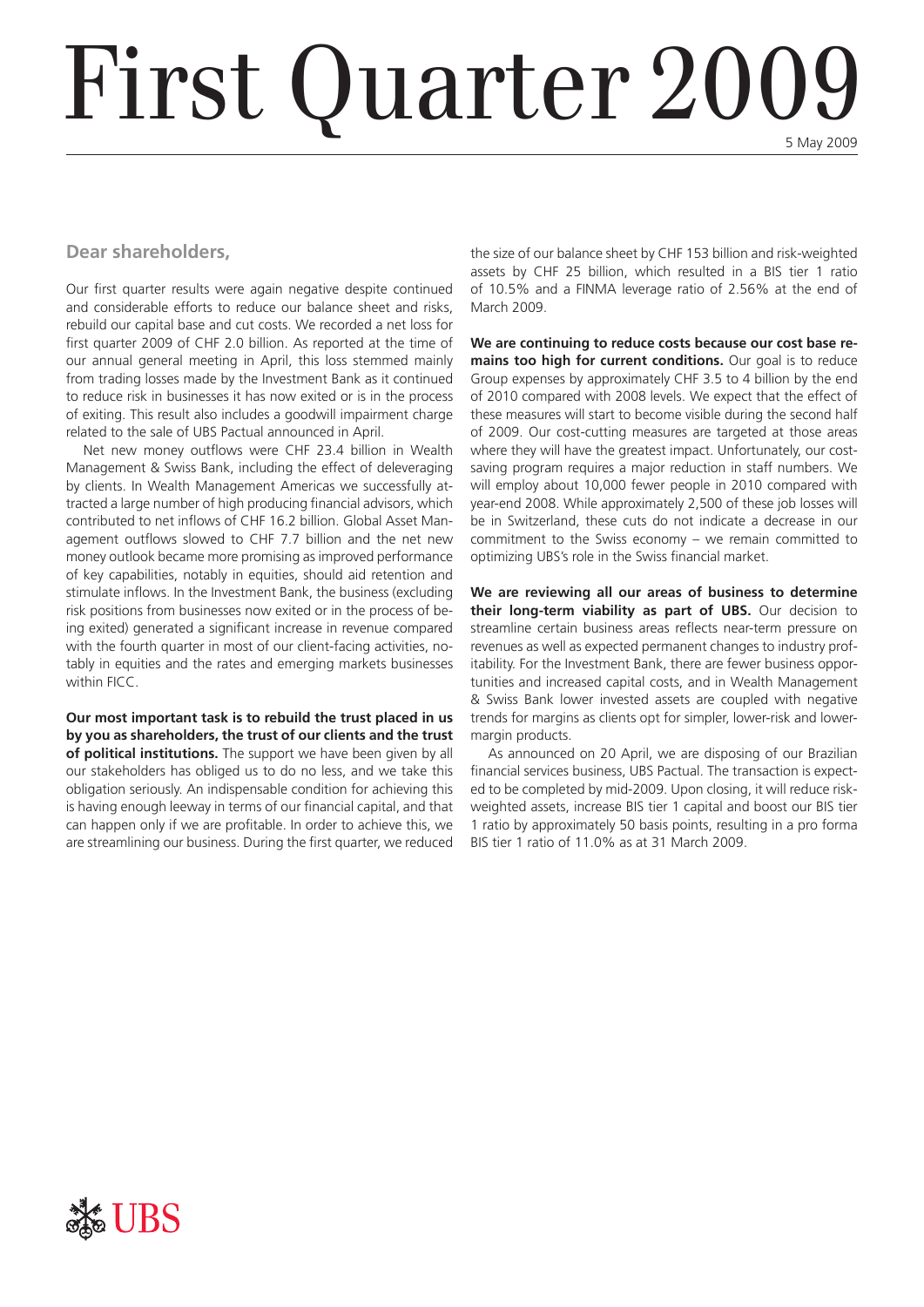# First Quarter 2009

### **Dear shareholders,**

Our first quarter results were again negative despite continued and considerable efforts to reduce our balance sheet and risks, rebuild our capital base and cut costs. We recorded a net loss for first quarter 2009 of CHF 2.0 billion. As reported at the time of our annual general meeting in April, this loss stemmed mainly from trading losses made by the Investment Bank as it continued to reduce risk in businesses it has now exited or is in the process of exiting. This result also includes a goodwill impairment charge related to the sale of UBS Pactual announced in April.

Net new money outflows were CHF 23.4 billion in Wealth Management & Swiss Bank, including the effect of deleveraging by clients. In Wealth Management Americas we successfully attracted a large number of high producing financial advisors, which contributed to net inflows of CHF 16.2 billion. Global Asset Management outflows slowed to CHF 7.7 billion and the net new money outlook became more promising as improved performance of key capabilities, notably in equities, should aid retention and stimulate inflows. In the Investment Bank, the business (excluding risk positions from businesses now exited or in the process of being exited) generated a significant increase in revenue compared with the fourth quarter in most of our client-facing activities, notably in equities and the rates and emerging markets businesses within FICC.

**Our most important task is to rebuild the trust placed in us by you as shareholders, the trust of our clients and the trust of political institutions.** The support we have been given by all our stakeholders has obliged us to do no less, and we take this obligation seriously. An indispensable condition for achieving this is having enough leeway in terms of our financial capital, and that can happen only if we are profitable. In order to achieve this, we are streamlining our business. During the first quarter, we reduced

the size of our balance sheet by CHF 153 billion and risk-weighted assets by CHF 25 billion, which resulted in a BIS tier 1 ratio of 10.5% and a FINMA leverage ratio of 2.56% at the end of March 2009.

**We are continuing to reduce costs because our cost base remains too high for current conditions.** Our goal is to reduce Group expenses by approximately CHF 3.5 to 4 billion by the end of 2010 compared with 2008 levels. We expect that the effect of these measures will start to become visible during the second half of 2009. Our cost-cutting measures are targeted at those areas where they will have the greatest impact. Unfortunately, our costsaving program requires a major reduction in staff numbers. We will employ about 10,000 fewer people in 2010 compared with year-end 2008. While approximately 2,500 of these job losses will be in Switzerland, these cuts do not indicate a decrease in our commitment to the Swiss economy – we remain committed to optimizing UBS's role in the Swiss financial market.

**We are reviewing all our areas of business to determine their long-term viability as part of UBS.** Our decision to streamline certain business areas reflects near-term pressure on revenues as well as expected permanent changes to industry profitability. For the Investment Bank, there are fewer business opportunities and increased capital costs, and in Wealth Management & Swiss Bank lower invested assets are coupled with negative trends for margins as clients opt for simpler, lower-risk and lowermargin products.

As announced on 20 April, we are disposing of our Brazilian financial services business, UBS Pactual. The transaction is expected to be completed by mid-2009. Upon closing, it will reduce riskweighted assets, increase BIS tier 1 capital and boost our BIS tier 1 ratio by approximately 50 basis points, resulting in a pro forma BIS tier 1 ratio of 11.0% as at 31 March 2009.

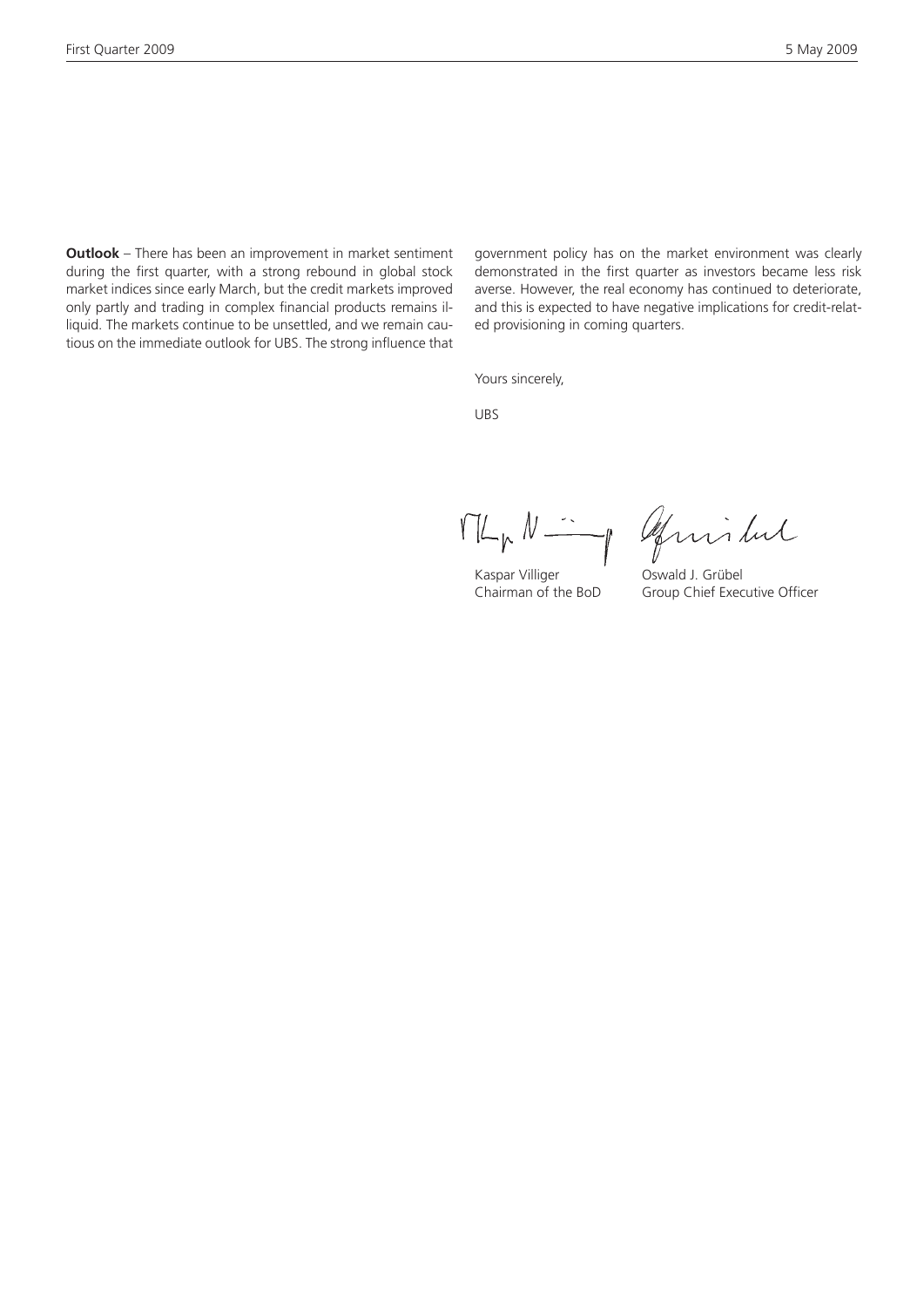**Outlook** – There has been an improvement in market sentiment during the first quarter, with a strong rebound in global stock market indices since early March, but the credit markets improved only partly and trading in complex financial products remains illiquid. The markets continue to be unsettled, and we remain cautious on the immediate outlook for UBS. The strong influence that government policy has on the market environment was clearly demonstrated in the first quarter as investors became less risk averse. However, the real economy has continued to deteriorate, and this is expected to have negative implications for credit-related provisioning in coming quarters.

Yours sincerely,

UBS

MLNNIng afinitud

Kaspar Villiger Oswald J. Grübel

Chairman of the BoD Group Chief Executive Officer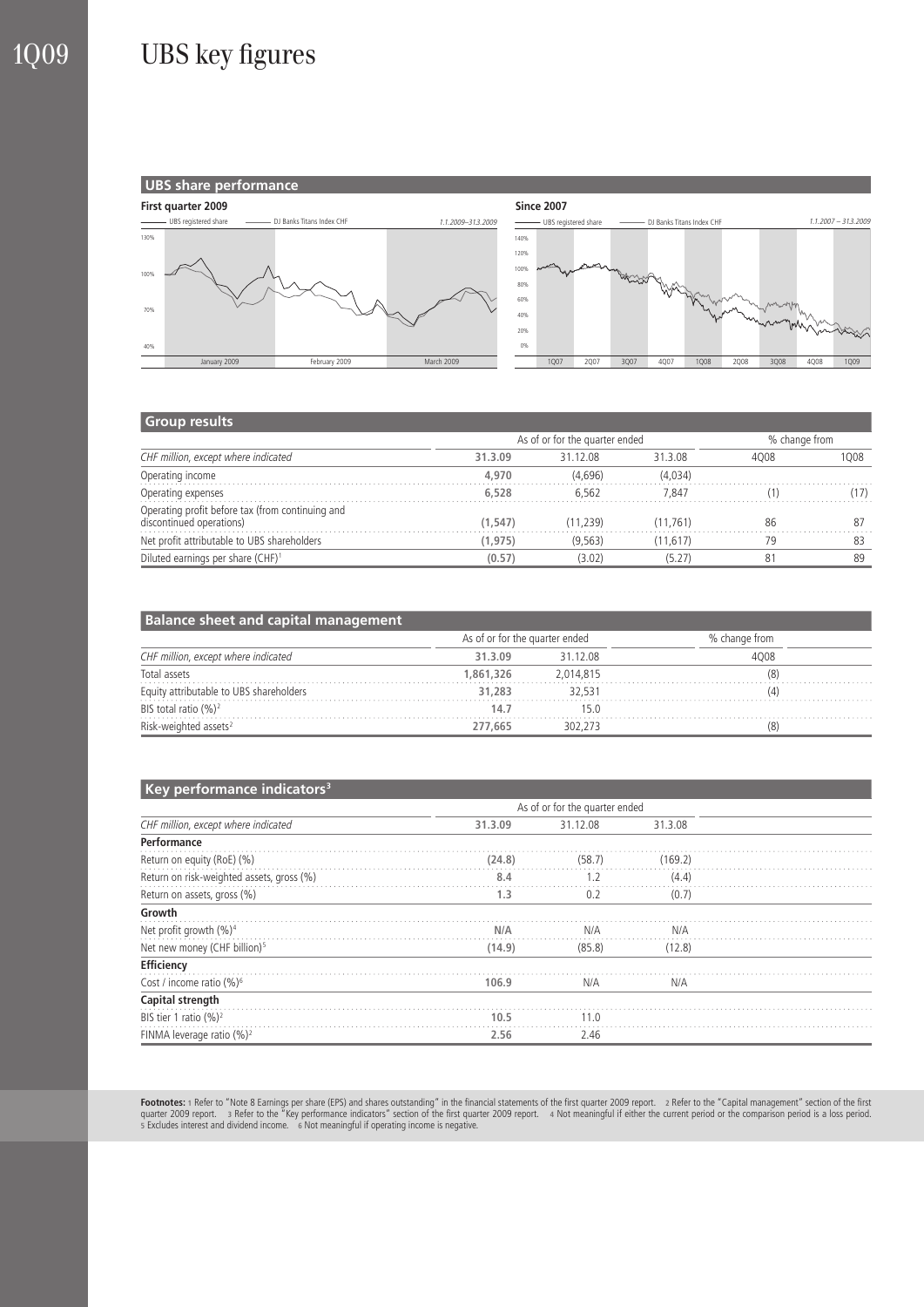

#### **Group results**

|                                                                              |          | As of or for the quarter ended | % change from |      |      |
|------------------------------------------------------------------------------|----------|--------------------------------|---------------|------|------|
| CHF million, except where indicated                                          | 31.3.09  | 31 12 08                       |               | 4008 | 1008 |
| Operating income                                                             | 4,970    | (4.696)                        | (4.034)       |      |      |
| Operating expenses                                                           | 6,528    | 6.562                          | 7.847         |      | (17) |
| Operating profit before tax (from continuing and<br>discontinued operations) | (1.547)  | (11.239)                       | (11.761)      | 86   | 87   |
| Net profit attributable to UBS shareholders                                  | (1, 975) | (9.563)                        | (11, 617)     | 79   | 83   |
| Diluted earnings per share (CHF) <sup>1</sup>                                | (0.57)   | (3.02)                         | (5.27)        | 81   | 89   |

| <b>Balance sheet and capital management</b> |                                |           |               |  |  |  |  |
|---------------------------------------------|--------------------------------|-----------|---------------|--|--|--|--|
| CHF million, except where indicated         | As of or for the quarter ended |           | % change from |  |  |  |  |
|                                             | 31.3.09                        | 31 12 08  | 4008          |  |  |  |  |
| Total assets                                | 1,861,326                      | 2.014.815 |               |  |  |  |  |
| Equity attributable to UBS shareholders     | 31.283                         | 32.531    |               |  |  |  |  |
| BIS total ratio $(\frac{9}{6})^2$           | 14.7                           | 15.0      |               |  |  |  |  |
| Risk-weighted assets <sup>2</sup>           | 277,665                        | 302.273   |               |  |  |  |  |

#### **Key performance indicators<sup>3</sup>**

| . .                                       |         | As of or for the quarter ended |         |  |  |
|-------------------------------------------|---------|--------------------------------|---------|--|--|
| CHF million, except where indicated       | 31.3.09 | 31.12.08                       | 31.3.08 |  |  |
| Performance                               |         |                                |         |  |  |
| Return on equity (RoE) (%)                | (24.8)  | (58.7)                         | (169.2) |  |  |
| Return on risk-weighted assets, gross (%) | 8.4     | 1.2                            | (4.4)   |  |  |
| Return on assets, gross (%)               | 1.3     | 0.2                            | (0.7)   |  |  |
| Growth                                    |         |                                |         |  |  |
| Net profit growth $(\%)^4$                | N/A     | N/A                            | N/A     |  |  |
| Net new money (CHF billion) <sup>5</sup>  | (14.9)  | (85.8)                         | (12.8)  |  |  |
| Efficiency                                |         |                                |         |  |  |
| Cost / income ratio (%) <sup>6</sup>      | 106.9   | N/A                            | N/A     |  |  |
| Capital strength                          |         |                                |         |  |  |
| BIS tier 1 ratio $(\%)^2$                 | 10.5    | 11.0                           |         |  |  |
| FINMA leverage ratio $(\frac{9}{2})^2$    | 2.56    | 2.46                           |         |  |  |

**Footnotes:** 1 Refer to "Note 8 Earnings per share (EPS) and shares outstanding" in the financial statements of the first quarter 2009 report. 2 Refer to the "Capital management" section of the first<br>quarter 2009 report. 3